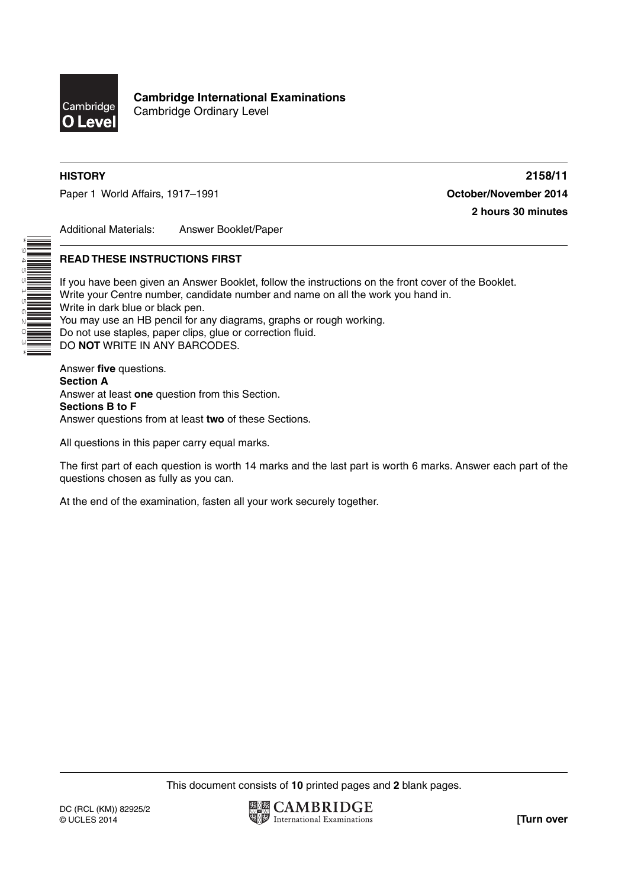

\*9455156203\*

Paper 1 World Affairs, 1917-1991 **Constanting Constanting Constanting Constanting Constanting Constanting Constanting Constanting Constanting Constanting Constanting Constanting Constanting Constanting Constanting Constant** 

**HISTORY 2158/11 2 hours 30 minutes**

Additional Materials: Answer Booklet/Paper

# **READ THESE INSTRUCTIONS FIRST**

If you have been given an Answer Booklet, follow the instructions on the front cover of the Booklet. Write your Centre number, candidate number and name on all the work you hand in. Write in dark blue or black pen. You may use an HB pencil for any diagrams, graphs or rough working. Do not use staples, paper clips, glue or correction fluid. DO **NOT** WRITE IN ANY BARCODES.

Answer **five** questions. **Section A** Answer at least **one** question from this Section. **Sections B to F** Answer questions from at least **two** of these Sections.

All questions in this paper carry equal marks.

The first part of each question is worth 14 marks and the last part is worth 6 marks. Answer each part of the questions chosen as fully as you can.

At the end of the examination, fasten all your work securely together.

This document consists of **10** printed pages and **2** blank pages.

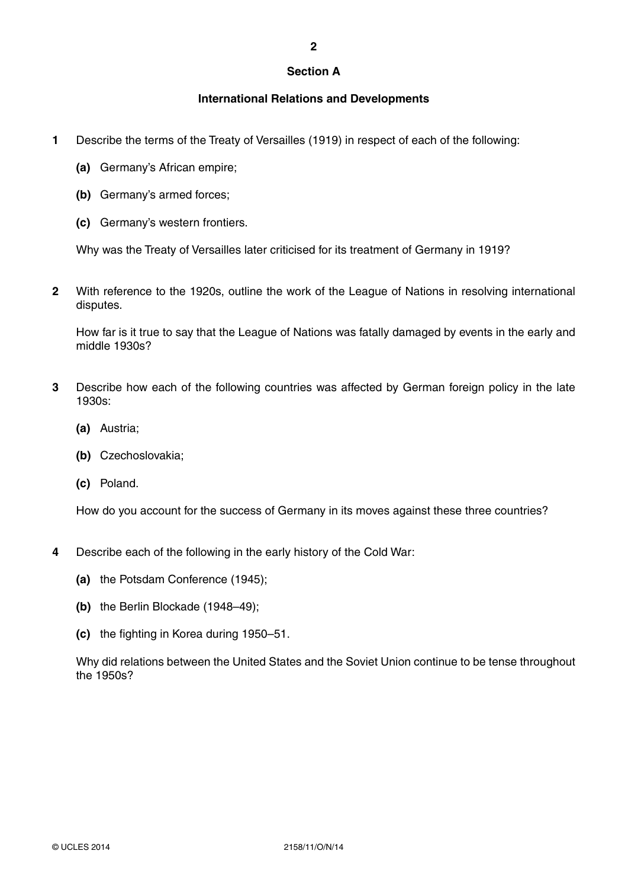### **International Relations and Developments**

- **1** Describe the terms of the Treaty of Versailles (1919) in respect of each of the following:
	- **(a)** Germany's African empire;
	- **(b)** Germany's armed forces;
	- **(c)** Germany's western frontiers.

Why was the Treaty of Versailles later criticised for its treatment of Germany in 1919?

**2** With reference to the 1920s, outline the work of the League of Nations in resolving international disputes.

How far is it true to say that the League of Nations was fatally damaged by events in the early and middle 1930s?

- **3** Describe how each of the following countries was affected by German foreign policy in the late 1930s:
	- **(a)** Austria;
	- **(b)** Czechoslovakia;
	- **(c)** Poland.

How do you account for the success of Germany in its moves against these three countries?

- **4** Describe each of the following in the early history of the Cold War:
	- **(a)** the Potsdam Conference (1945);
	- **(b)** the Berlin Blockade (1948–49);
	- **(c)** the fighting in Korea during 1950–51.

Why did relations between the United States and the Soviet Union continue to be tense throughout the 1950s?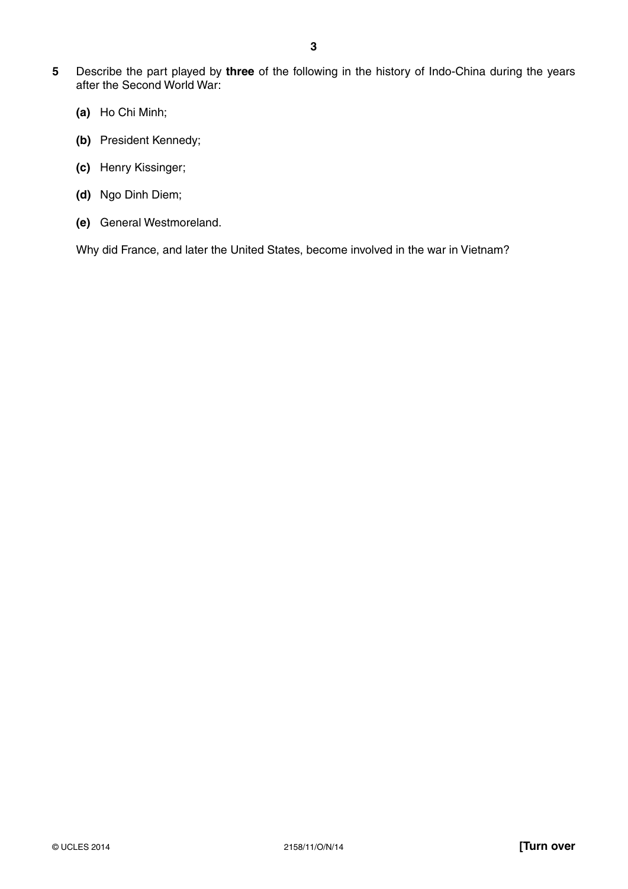- **5** Describe the part played by **three** of the following in the history of Indo-China during the years after the Second World War:
	- **(a)** Ho Chi Minh;
	- **(b)** President Kennedy;
	- **(c)** Henry Kissinger;
	- **(d)** Ngo Dinh Diem;
	- **(e)** General Westmoreland.

Why did France, and later the United States, become involved in the war in Vietnam?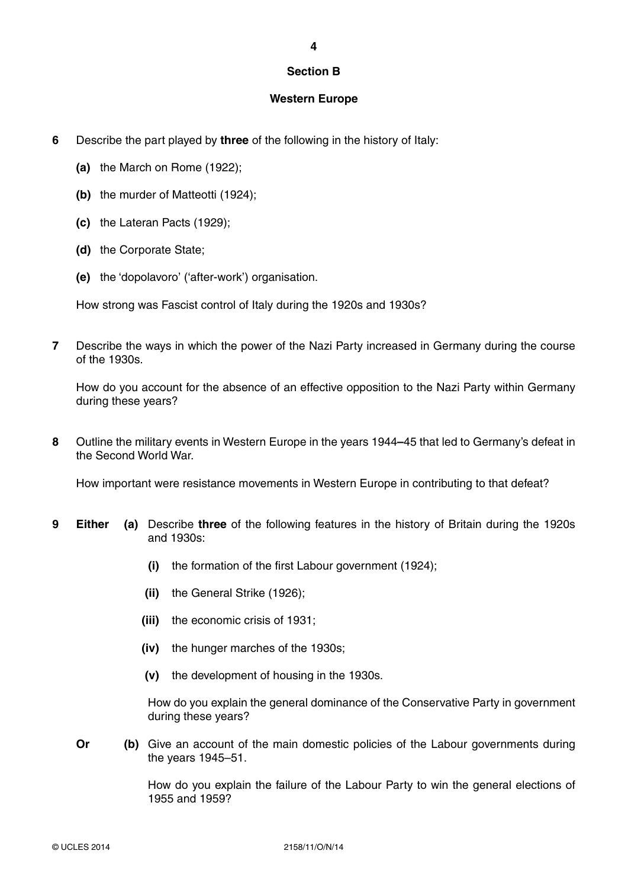#### **Section B**

#### **Western Europe**

- **6** Describe the part played by **three** of the following in the history of Italy:
	- **(a)** the March on Rome (1922);
	- **(b)** the murder of Matteotti (1924);
	- **(c)** the Lateran Pacts (1929);
	- **(d)** the Corporate State;
	- **(e)** the 'dopolavoro' ('after-work') organisation.

How strong was Fascist control of Italy during the 1920s and 1930s?

**7** Describe the ways in which the power of the Nazi Party increased in Germany during the course of the 1930s.

How do you account for the absence of an effective opposition to the Nazi Party within Germany during these years?

**8** Outline the military events in Western Europe in the years 1944**–**45 that led to Germany's defeat in the Second World War.

How important were resistance movements in Western Europe in contributing to that defeat?

- **9 Either (a)** Describe **three** of the following features in the history of Britain during the 1920s and 1930s:
	- **(i)** the formation of the first Labour government (1924);
	- **(ii)** the General Strike (1926);
	- **(iii)** the economic crisis of 1931;
	- **(iv)** the hunger marches of the 1930s;
	- **(v)** the development of housing in the 1930s.

How do you explain the general dominance of the Conservative Party in government during these years?

**Or** (b) Give an account of the main domestic policies of the Labour governments during the years 1945–51.

> How do you explain the failure of the Labour Party to win the general elections of 1955 and 1959?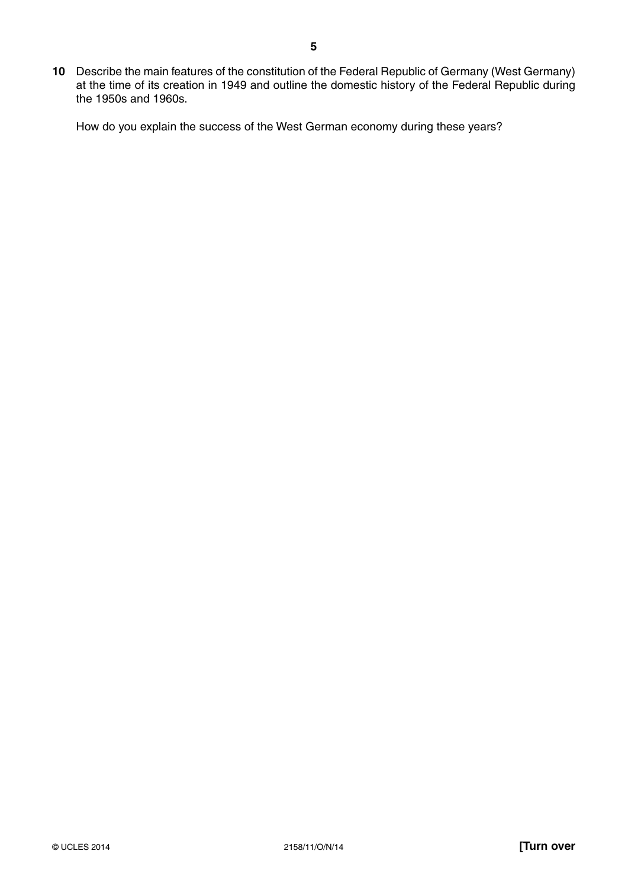**10** Describe the main features of the constitution of the Federal Republic of Germany (West Germany) at the time of its creation in 1949 and outline the domestic history of the Federal Republic during the 1950s and 1960s.

How do you explain the success of the West German economy during these years?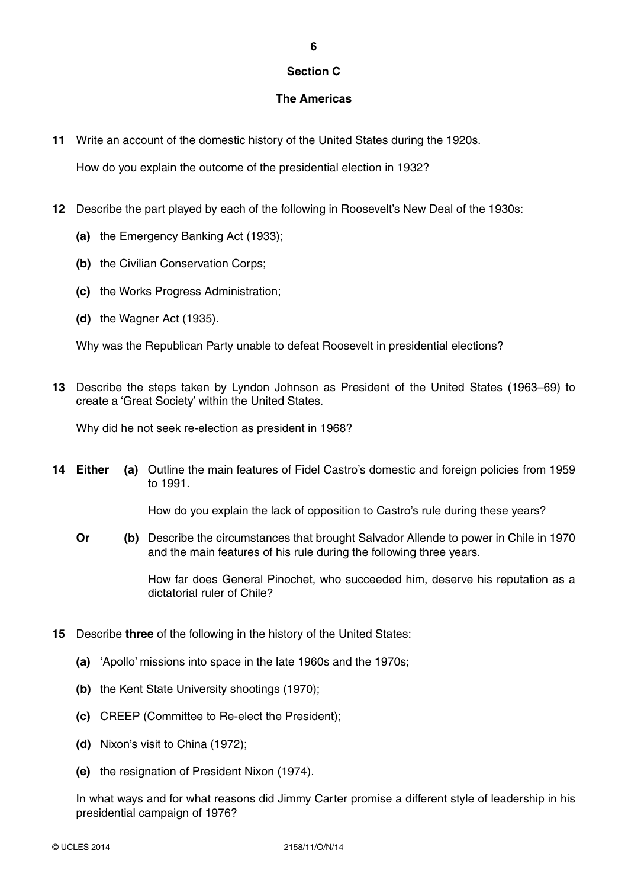### **Section C**

#### **The Americas**

**11** Write an account of the domestic history of the United States during the 1920s.

How do you explain the outcome of the presidential election in 1932?

- **12** Describe the part played by each of the following in Roosevelt's New Deal of the 1930s:
	- **(a)** the Emergency Banking Act (1933);
	- **(b)** the Civilian Conservation Corps;
	- **(c)** the Works Progress Administration;
	- **(d)** the Wagner Act (1935).

Why was the Republican Party unable to defeat Roosevelt in presidential elections?

**13** Describe the steps taken by Lyndon Johnson as President of the United States (1963–69) to create a 'Great Society' within the United States.

Why did he not seek re-election as president in 1968?

**14 Either (a)** Outline the main features of Fidel Castro's domestic and foreign policies from 1959 to 1991.

How do you explain the lack of opposition to Castro's rule during these years?

**Or** (b) Describe the circumstances that brought Salvador Allende to power in Chile in 1970 and the main features of his rule during the following three years.

> How far does General Pinochet, who succeeded him, deserve his reputation as a dictatorial ruler of Chile?

- **15** Describe **three** of the following in the history of the United States:
	- **(a)** 'Apollo' missions into space in the late 1960s and the 1970s;
	- **(b)** the Kent State University shootings (1970);
	- **(c)** CREEP (Committee to Re-elect the President);
	- **(d)** Nixon's visit to China (1972);
	- **(e)** the resignation of President Nixon (1974).

In what ways and for what reasons did Jimmy Carter promise a different style of leadership in his presidential campaign of 1976?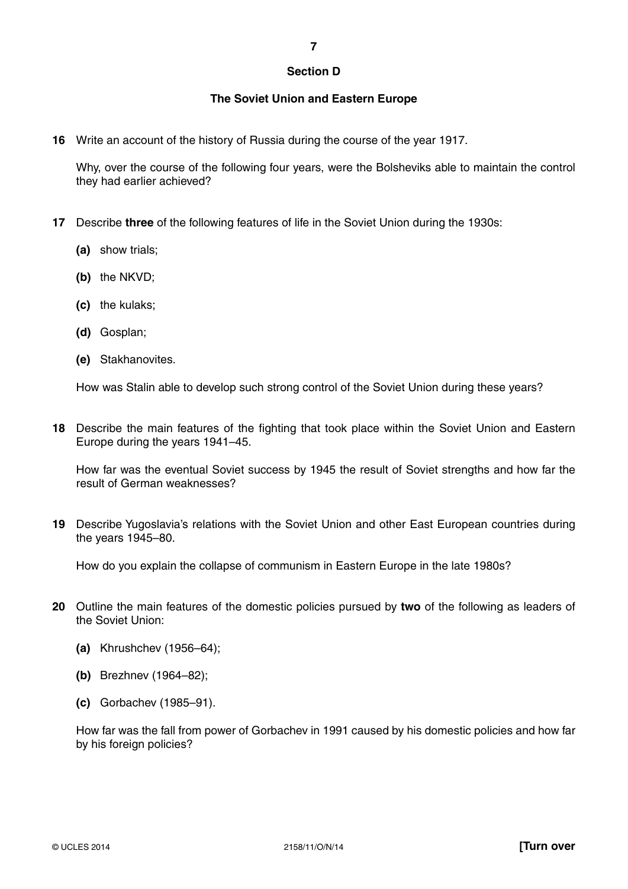#### **Section D**

#### **The Soviet Union and Eastern Europe**

**16** Write an account of the history of Russia during the course of the year 1917.

Why, over the course of the following four years, were the Bolsheviks able to maintain the control they had earlier achieved?

- **17** Describe **three** of the following features of life in the Soviet Union during the 1930s:
	- **(a)** show trials;
	- **(b)** the NKVD;
	- **(c)** the kulaks;
	- **(d)** Gosplan;
	- **(e)** Stakhanovites.

How was Stalin able to develop such strong control of the Soviet Union during these years?

**18** Describe the main features of the fighting that took place within the Soviet Union and Eastern Europe during the years 1941–45.

How far was the eventual Soviet success by 1945 the result of Soviet strengths and how far the result of German weaknesses?

**19** Describe Yugoslavia's relations with the Soviet Union and other East European countries during the years 1945–80.

How do you explain the collapse of communism in Eastern Europe in the late 1980s?

- **20** Outline the main features of the domestic policies pursued by **two** of the following as leaders of the Soviet Union:
	- **(a)** Khrushchev (1956–64);
	- **(b)** Brezhnev (1964–82);
	- **(c)** Gorbachev (1985–91).

How far was the fall from power of Gorbachev in 1991 caused by his domestic policies and how far by his foreign policies?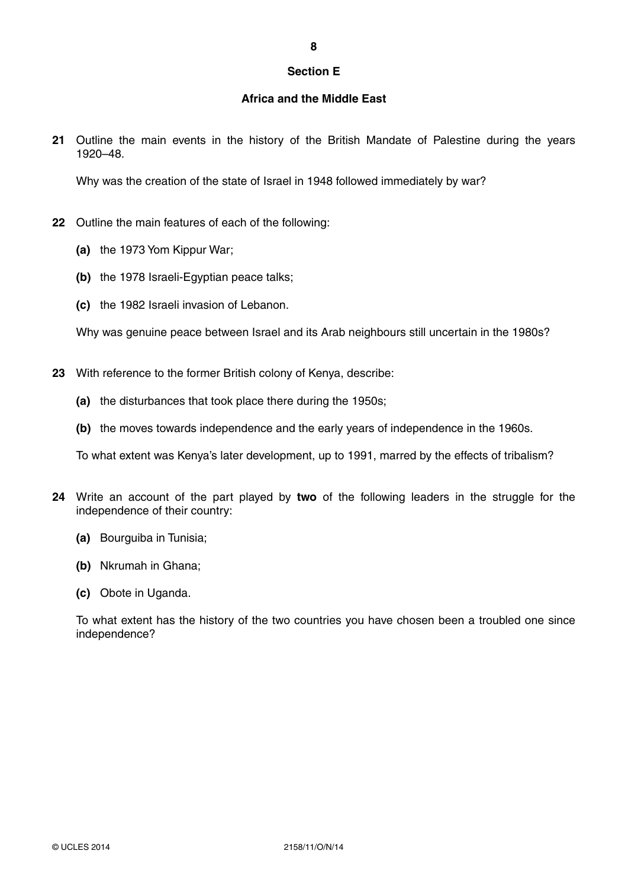#### **Section E**

#### **Africa and the Middle East**

**21** Outline the main events in the history of the British Mandate of Palestine during the years 1920–48.

Why was the creation of the state of Israel in 1948 followed immediately by war?

- **22** Outline the main features of each of the following:
	- **(a)** the 1973 Yom Kippur War;
	- **(b)** the 1978 Israeli-Egyptian peace talks;
	- **(c)** the 1982 Israeli invasion of Lebanon.

Why was genuine peace between Israel and its Arab neighbours still uncertain in the 1980s?

- **23** With reference to the former British colony of Kenya, describe:
	- **(a)** the disturbances that took place there during the 1950s;
	- **(b)** the moves towards independence and the early years of independence in the 1960s.

To what extent was Kenya's later development, up to 1991, marred by the effects of tribalism?

- **24** Write an account of the part played by **two** of the following leaders in the struggle for the independence of their country:
	- **(a)** Bourguiba in Tunisia;
	- **(b)** Nkrumah in Ghana;
	- **(c)** Obote in Uganda.

To what extent has the history of the two countries you have chosen been a troubled one since independence?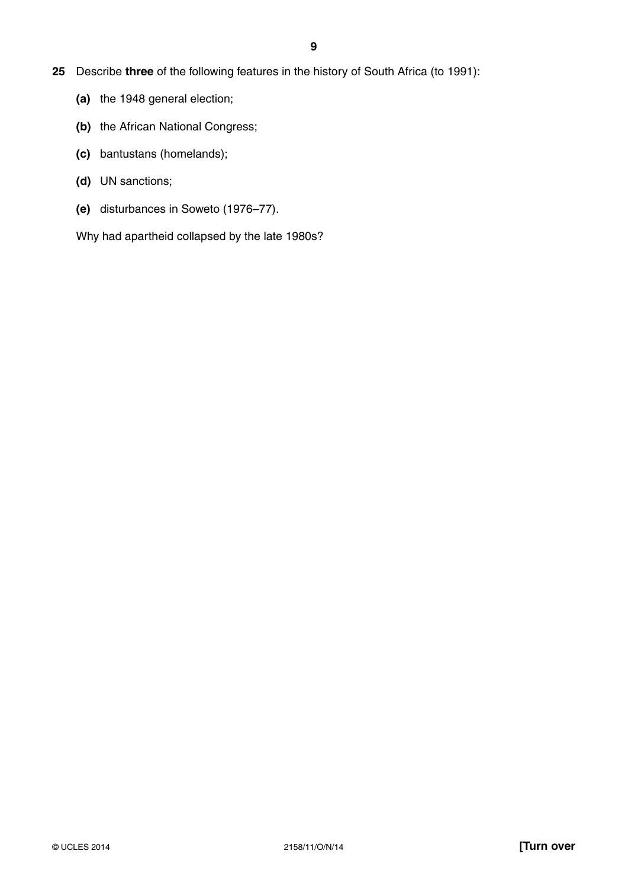- **25** Describe **three** of the following features in the history of South Africa (to 1991):
	- **(a)** the 1948 general election;
	- **(b)** the African National Congress;
	- **(c)** bantustans (homelands);
	- **(d)** UN sanctions;
	- **(e)** disturbances in Soweto (1976–77).

Why had apartheid collapsed by the late 1980s?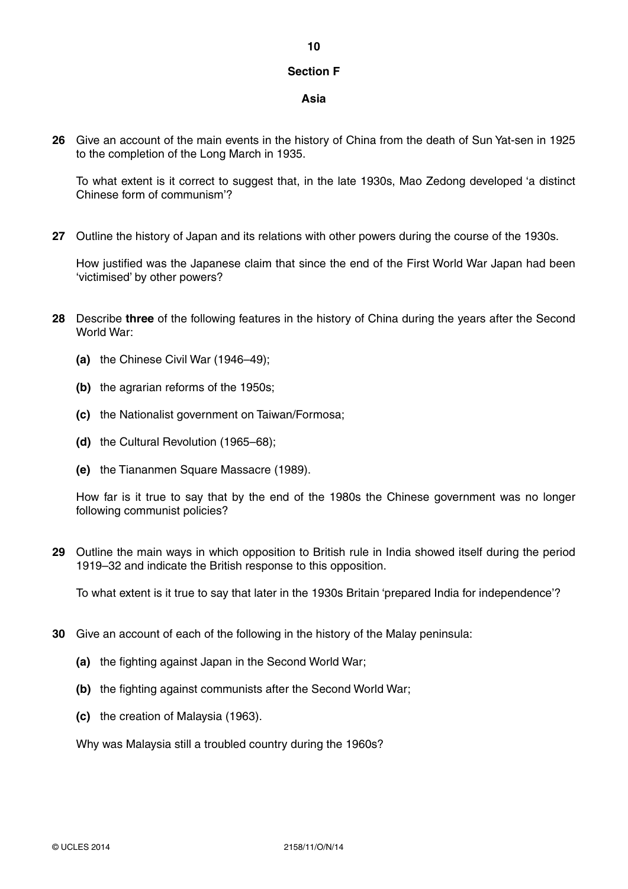#### **Section F**

**10**

#### **Asia**

**26** Give an account of the main events in the history of China from the death of Sun Yat-sen in 1925 to the completion of the Long March in 1935.

To what extent is it correct to suggest that, in the late 1930s, Mao Zedong developed 'a distinct Chinese form of communism'?

**27** Outline the history of Japan and its relations with other powers during the course of the 1930s.

How justified was the Japanese claim that since the end of the First World War Japan had been 'victimised' by other powers?

- **28** Describe **three** of the following features in the history of China during the years after the Second World War:
	- **(a)** the Chinese Civil War (1946–49);
	- **(b)** the agrarian reforms of the 1950s;
	- **(c)** the Nationalist government on Taiwan/Formosa;
	- **(d)** the Cultural Revolution (1965–68);
	- **(e)** the Tiananmen Square Massacre (1989).

How far is it true to say that by the end of the 1980s the Chinese government was no longer following communist policies?

**29** Outline the main ways in which opposition to British rule in India showed itself during the period 1919–32 and indicate the British response to this opposition.

To what extent is it true to say that later in the 1930s Britain 'prepared India for independence'?

- **30** Give an account of each of the following in the history of the Malay peninsula:
	- **(a)** the fighting against Japan in the Second World War;
	- **(b)** the fighting against communists after the Second World War;
	- **(c)** the creation of Malaysia (1963).

Why was Malaysia still a troubled country during the 1960s?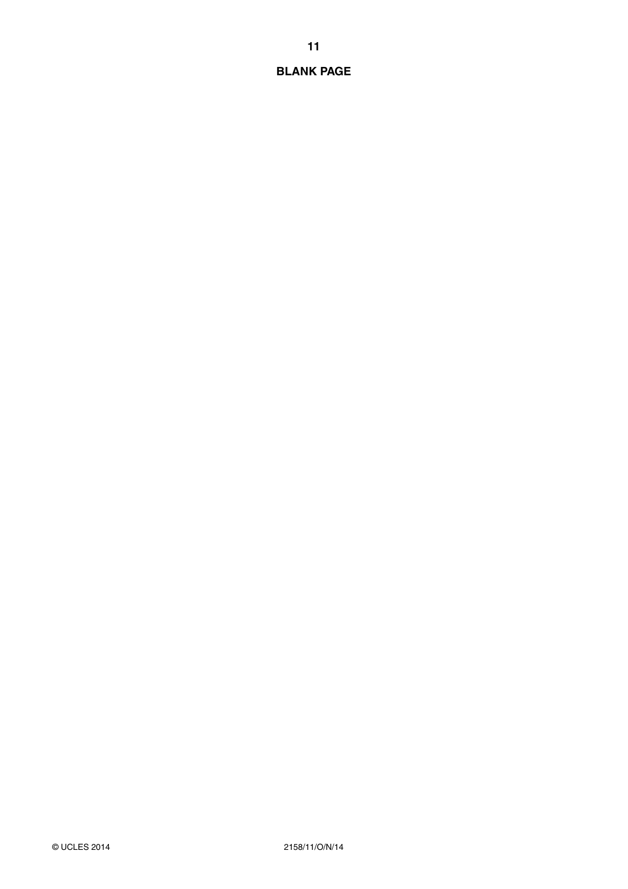## **BLANK PAGE**

**11**